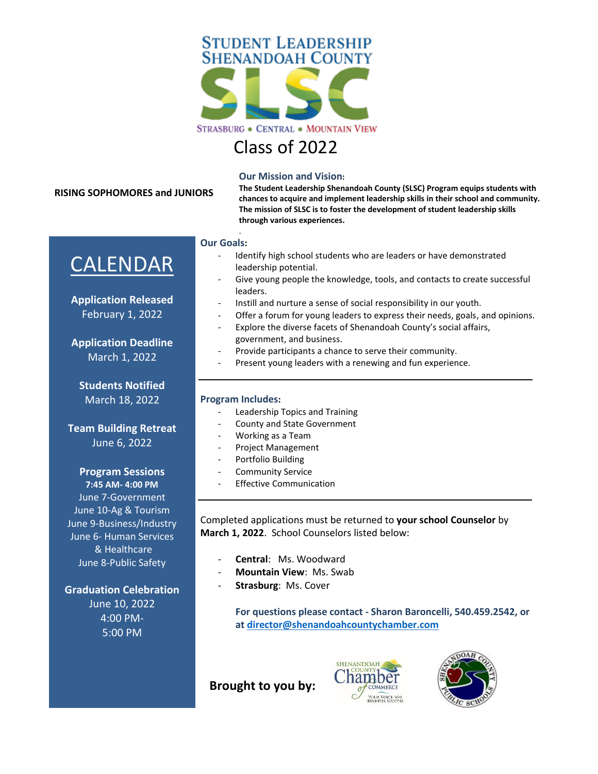

# Class of 2022

#### **RISING SOPHOMORES and JUNIORS**

**Our Mission and Vision:**

**The Student Leadership Shenandoah County (SLSC) Program equips students with chances to acquire and implement leadership skills in their school and community. The mission of SLSC is to foster the development of student leadership skills through various experiences.** 

#### **Our Goals:**

.

- Identify high school students who are leaders or have demonstrated leadership potential.
- Give young people the knowledge, tools, and contacts to create successful leaders.
- Instill and nurture a sense of social responsibility in our youth.
- Offer a forum for young leaders to express their needs, goals, and opinions.
- Explore the diverse facets of Shenandoah County's social affairs, government, and business.
- Provide participants a chance to serve their community.
- Present young leaders with a renewing and fun experience.

#### **Program Includes:**

- Leadership Topics and Training
- County and State Government
- Working as a Team
- Project Management
- Portfolio Building
- Community Service
- **Effective Communication**

Completed applications must be returned to **your school Counselor** by **March 1, 2022**. School Counselors listed below:

- Central: Ms. Woodward
- **Mountain View**: Ms. Swab
- **Strasburg: Ms. Cover**

**For questions please contact - Sharon Baroncelli, 540.459.2542, or at [director@shenandoahcountychamber.com](mailto:director@shenandoahcountychamber.com)**

 **Brought to you by:**





CALENDAR

**Application Released** February 1, 2022

**Application Deadline** March 1, 2022

**Students Notified** March 18, 2022

**Team Building Retreat** June 6, 2022

#### **Program Sessions**

**7:45 AM- 4:00 PM** June 7-Government June 10-Ag & Tourism June 9-Business/Industry June 6- Human Services & Healthcare June 8-Public Safety

## **Graduation Celebration**

June 10, 2022 4:00 PM-5:00 PM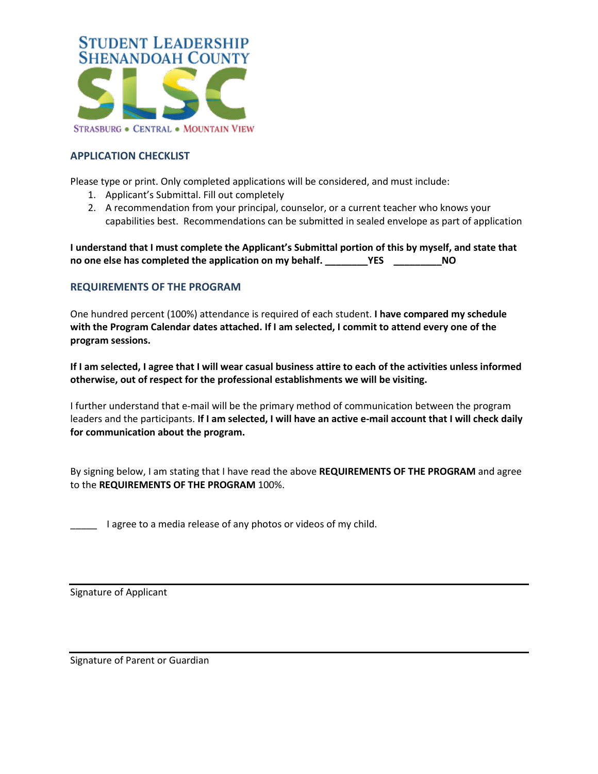

## **APPLICATION CHECKLIST**

Please type or print. Only completed applications will be considered, and must include:

- 1. Applicant's Submittal. Fill out completely
- 2. A recommendation from your principal, counselor, or a current teacher who knows your capabilities best. Recommendations can be submitted in sealed envelope as part of application

**I understand that I must complete the Applicant's Submittal portion of this by myself, and state that no one else has completed the application on my behalf. \_\_\_\_\_\_\_\_YES \_\_\_\_\_\_\_\_\_NO**

## **REQUIREMENTS OF THE PROGRAM**

One hundred percent (100%) attendance is required of each student. **I have compared my schedule with the Program Calendar dates attached. If I am selected, I commit to attend every one of the program sessions.** 

**If I am selected, I agree that I will wear casual business attire to each of the activities unless informed otherwise, out of respect for the professional establishments we will be visiting.** 

I further understand that e-mail will be the primary method of communication between the program leaders and the participants. **If I am selected, I will have an active e-mail account that I will check daily for communication about the program.**

By signing below, I am stating that I have read the above **REQUIREMENTS OF THE PROGRAM** and agree to the **REQUIREMENTS OF THE PROGRAM** 100%.

\_\_\_\_\_ I agree to a media release of any photos or videos of my child.

Signature of Applicant

Signature of Parent or Guardian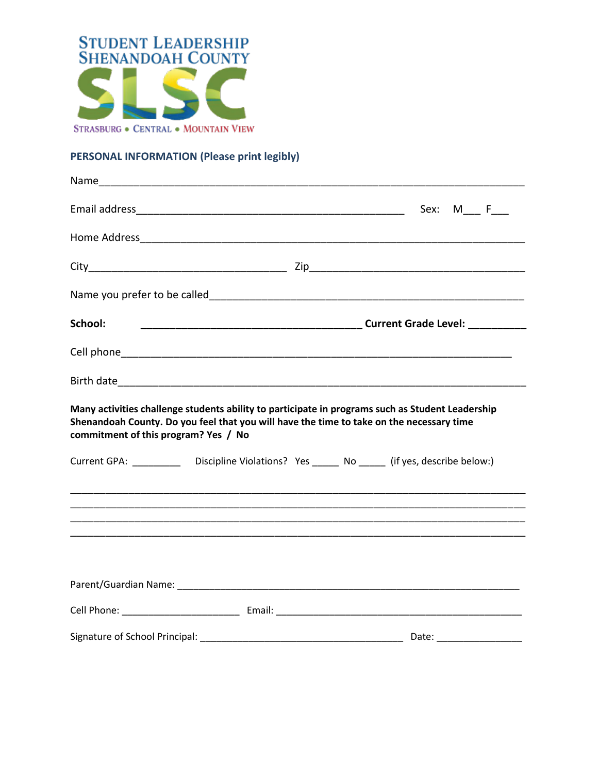

# PERSONAL INFORMATION (Please print legibly)

| School:                              |                                                                                                 |                                                                                                  |
|--------------------------------------|-------------------------------------------------------------------------------------------------|--------------------------------------------------------------------------------------------------|
|                                      |                                                                                                 |                                                                                                  |
|                                      |                                                                                                 |                                                                                                  |
| commitment of this program? Yes / No | Shenandoah County. Do you feel that you will have the time to take on the necessary time        | Many activities challenge students ability to participate in programs such as Student Leadership |
|                                      | Current GPA: ____________ Discipline Violations? Yes ______ No ______ (if yes, describe below:) |                                                                                                  |
|                                      |                                                                                                 |                                                                                                  |
|                                      |                                                                                                 |                                                                                                  |
|                                      |                                                                                                 |                                                                                                  |
|                                      |                                                                                                 |                                                                                                  |
|                                      |                                                                                                 |                                                                                                  |
|                                      |                                                                                                 |                                                                                                  |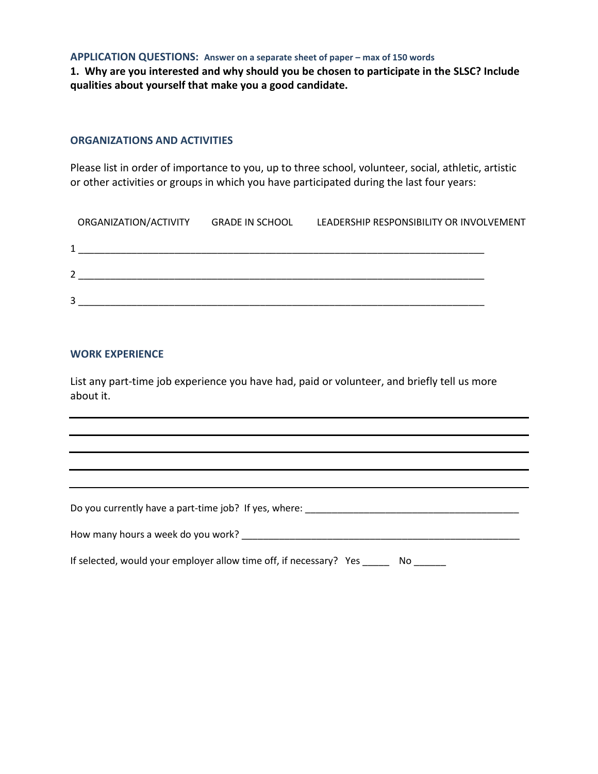**APPLICATION QUESTIONS: Answer on a separate sheet of paper – max of 150 words**

**1. Why are you interested and why should you be chosen to participate in the SLSC? Include qualities about yourself that make you a good candidate.**

## **ORGANIZATIONS AND ACTIVITIES**

Please list in order of importance to you, up to three school, volunteer, social, athletic, artistic or other activities or groups in which you have participated during the last four years:

| ORGANIZATION/ACTIVITY | <b>GRADE IN SCHOOL</b> | LEADERSHIP RESPONSIBILITY OR INVOLVEMENT |  |  |
|-----------------------|------------------------|------------------------------------------|--|--|
|                       |                        |                                          |  |  |
| $\mathcal{P}$         |                        |                                          |  |  |
| 3                     |                        |                                          |  |  |

#### **WORK EXPERIENCE**

List any part-time job experience you have had, paid or volunteer, and briefly tell us more about it.

| Do you currently have a part-time job? If yes, where:                    |
|--------------------------------------------------------------------------|
| How many hours a week do you work?                                       |
| If selected, would your employer allow time off, if necessary? Yes<br>Nο |